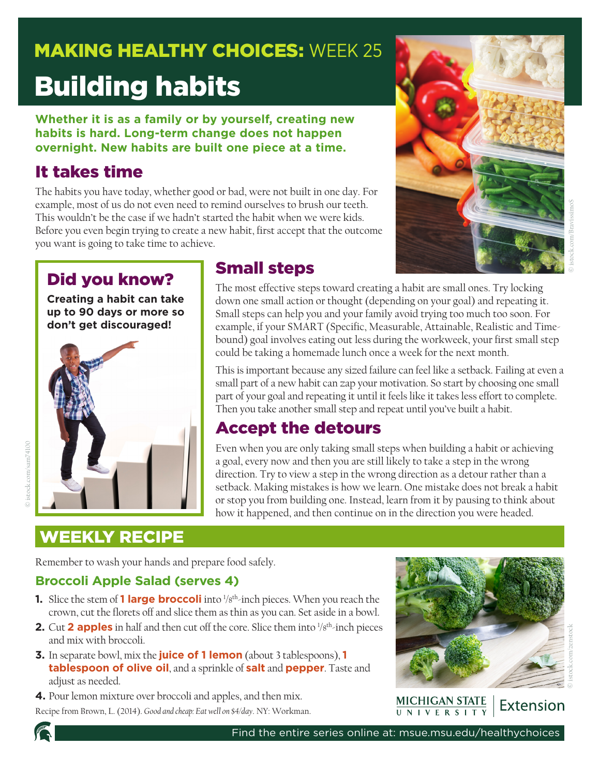# **MAKING HEALTHY CHOICES: WEEK 25** Building habits

**Whether it is as a family or by yourself, creating new habits is hard. Long-term change does not happen overnight. New habits are built one piece at a time.**

# It takes time

The habits you have today, whether good or bad, were not built in one day. For example, most of us do not even need to remind ourselves to brush our teeth. This wouldn't be the case if we hadn't started the habit when we were kids. Before you even begin trying to create a new habit, first accept that the outcome you want is going to take time to achieve.

# Did you know?

**Creating a habit can take up to 90 days or more so don't get discouraged!** 



© istock.com/zenstock

The most effective steps toward creating a habit are small ones. Try locking down one small action or thought (depending on your goal) and repeating it. Small steps can help you and your family avoid trying too much too soon. For example, if your SMART (Specific, Measurable, Attainable, Realistic and Timebound) goal involves eating out less during the workweek, your first small step could be taking a homemade lunch once a week for the next month.

This is important because any sized failure can feel like a setback. Failing at even a small part of a new habit can zap your motivation. So start by choosing one small part of your goal and repeating it until it feels like it takes less effort to complete. Then you take another small step and repeat until you've built a habit.

# Accept the detours

Small steps

Even when you are only taking small steps when building a habit or achieving a goal, every now and then you are still likely to take a step in the wrong direction. Try to view a step in the wrong direction as a detour rather than a setback. Making mistakes is how we learn. One mistake does not break a habit or stop you from building one. Instead, learn from it by pausing to think about how it happened, and then continue on in the direction you were headed.

# WEEKLY RECIPE

Remember to wash your hands and prepare food safely.

### **Broccoli Apple Salad (serves 4)**

- **1.** Slice the stem of **1 large broccoli** into <sup>1</sup>/8<sup>th</sup>-inch pieces. When you reach the crown, cut the florets off and slice them as thin as you can. Set aside in a bowl.
- **2.** Cut **2 apples** in half and then cut off the core. Slice them into <sup>1</sup>/8<sup>th</sup>-inch pieces and mix with broccoli.
- **3.** In separate bowl, mix the **juice of 1 lemon** (about 3 tablespoons), **1 tablespoon of olive oil**, and a sprinkle of **salt** and **pepper**. Taste and adjust as needed.
- **4.** Pour lemon mixture over broccoli and apples, and then mix.

Recipe from Brown, L. (2014). *Good and cheap: Eat well on \$4/day*. NY: Workman.